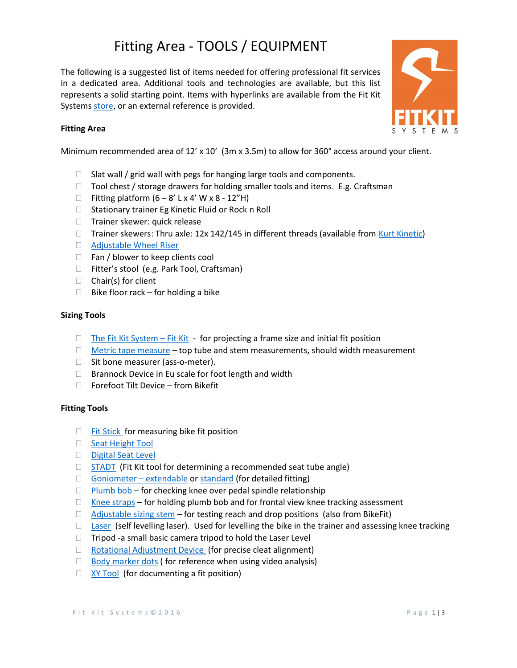# Fitting Area - TOOLS / EQUIPMENT

The following is a suggested list of items needed for offering professional fit services in a dedicated area. Additional tools and technologies are available, but this list represents a solid starting point. Items with hyperlinks are available from the Fit Kit Systems store, or an external reference is provided.



## Fitting Area

Minimum recommended area of 12' x 10' (3m x 3.5m) to allow for 360° access around your client.

- $\Box$  Slat wall / grid wall with pegs for hanging large tools and components.
- $\Box$  Tool chest / storage drawers for holding smaller tools and items. E.g. Craftsman
- $\Box$  Fitting platform  $(6-8'$  L x 4' W x 8 12"H)
- $\Box$  Stationary trainer Eg Kinetic Fluid or Rock n Roll
- □ Trainer skewer: quick release
- $\Box$  Trainer skewers: Thru axle: 12x 142/145 in different threads (available from Kurt Kinetic)
- □ Adjustable Wheel Riser
- $\Box$  Fan / blower to keep clients cool
- □ Fitter's stool (e.g. Park Tool, Craftsman)
- $\Box$  Chair(s) for client
- $\Box$  Bike floor rack for holding a bike

## Sizing Tools

- $\Box$  The Fit Kit System Fit Kit for projecting a frame size and initial fit position
- $\Box$  Metric tape measure top tube and stem measurements, should width measurement
- $\Box$  Sit bone measurer (ass-o-meter).
- $\Box$  Brannock Device in Eu scale for foot length and width
- $\Box$  Forefoot Tilt Device from Bikefit

#### Fitting Tools

- $\Box$  Fit Stick for measuring bike fit position
- $\Box$  Seat Height Tool
- Digital Seat Level
- $\Box$  STADT (Fit Kit tool for determining a recommended seat tube angle)
- $\Box$  Goniometer extendable or standard (for detailed fitting)
- $\Box$  Plumb bob for checking knee over pedal spindle relationship
- $\Box$  Knee straps for holding plumb bob and for frontal view knee tracking assessment
- $\Box$  Adjustable sizing stem for testing reach and drop positions (also from BikeFit)
- $\Box$  Laser (self levelling laser). Used for levelling the bike in the trainer and assessing knee tracking
- $\Box$  Tripod -a small basic camera tripod to hold the Laser Level
- $\Box$  Rotational Adjustment Device (for precise cleat alignment)
- $\Box$  Body marker dots (for reference when using video analysis)
- $\Box$  XY Tool (for documenting a fit position)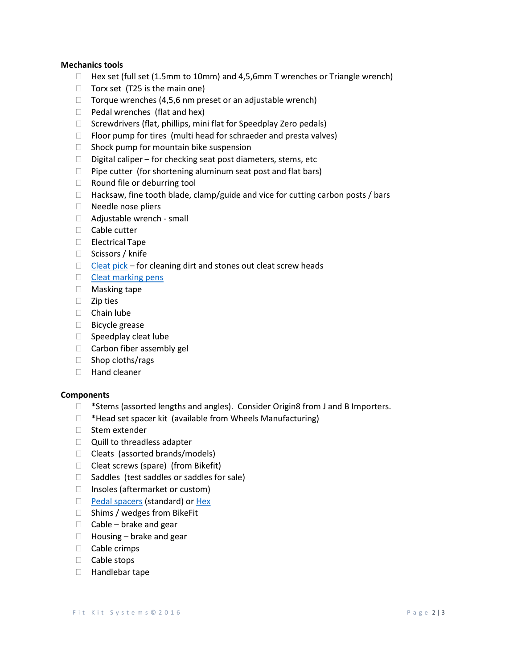### Mechanics tools

- $\Box$  Hex set (full set (1.5mm to 10mm) and 4,5,6mm T wrenches or Triangle wrench)
- $\Box$  Torx set (T25 is the main one)
- $\Box$  Torque wrenches (4,5,6 nm preset or an adjustable wrench)
- $\Box$  Pedal wrenches (flat and hex)
- $\Box$  Screwdrivers (flat, phillips, mini flat for Speedplay Zero pedals)
- $\Box$  Floor pump for tires (multi head for schraeder and presta valves)
- $\Box$  Shock pump for mountain bike suspension
- $\Box$  Digital caliper for checking seat post diameters, stems, etc
- $\Box$  Pipe cutter (for shortening aluminum seat post and flat bars)
- $\Box$  Round file or deburring tool
- $\Box$  Hacksaw, fine tooth blade, clamp/guide and vice for cutting carbon posts / bars
- □ Needle nose pliers
- □ Adjustable wrench small
- □ Cable cutter
- Electrical Tape
- □ Scissors / knife
- $\Box$  Cleat pick for cleaning dirt and stones out cleat screw heads
- $\Box$  Cleat marking pens
- Masking tape
- $\Box$  Zip ties
- $\Box$  Chain lube
- Bicycle grease
- $\Box$  Speedplay cleat lube
- $\Box$  Carbon fiber assembly gel
- $\Box$  Shop cloths/rags
- □ Hand cleaner

#### **Components**

- □ \*Stems (assorted lengths and angles). Consider Origin8 from J and B Importers.
- $\Box$  \*Head set spacer kit (available from Wheels Manufacturing)
- $\Box$  Stem extender
- $\Box$  Quill to threadless adapter
- $\Box$  Cleats (assorted brands/models)
- $\Box$  Cleat screws (spare) (from Bikefit)
- $\Box$  Saddles (test saddles or saddles for sale)
- $\Box$  Insoles (aftermarket or custom)
- **Pedal spacers (standard) or Hex**
- $\Box$  Shims / wedges from BikeFit
- $\Box$  Cable brake and gear
- $\Box$  Housing brake and gear
- $\Box$  Cable crimps
- □ Cable stops
- □ Handlebar tape